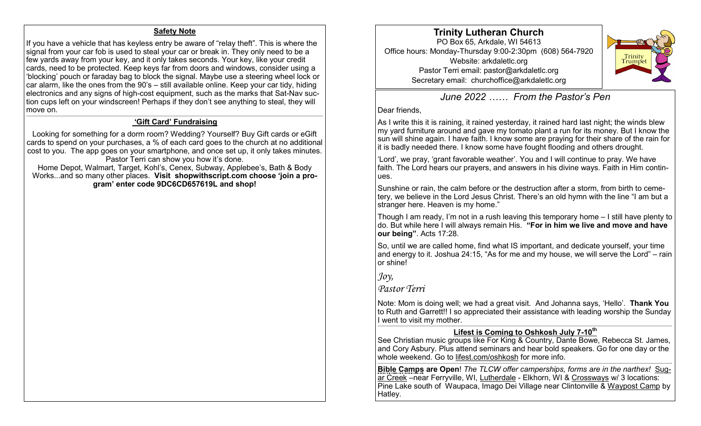### **Safety Note**

If you have a vehicle that has keyless entry be aware of "relay theft". This is where the signal from your car fob is used to steal your car or break in. They only need to be a few yards away from your key, and it only takes seconds. Your key, like your credit cards, need to be protected. Keep keys far from doors and windows, consider using a 'blocking' pouch or faraday bag to block the signal. Maybe use a steering wheel lock or car alarm, like the ones from the 90's – still available online. Keep your car tidy, hiding electronics and any signs of high-cost equipment, such as the marks that Sat-Nav suction cups left on your windscreen! Perhaps if they don't see anything to steal, they will move on.

#### —————————————————————————————————————————————————————————————————————————————————————- **'Gift Card' Fundraising**

Looking for something for a dorm room? Wedding? Yourself? Buy Gift cards or eGift cards to spend on your purchases, a % of each card goes to the church at no additional cost to you. The app goes on your smartphone, and once set up, it only takes minutes. Pastor Terri can show you how it's done.

Home Depot, Walmart, Target, Kohl's, Cenex, Subway, Applebee's, Bath & Body Works...and so many other places. **Visit shopwithscript.com choose 'join a program' enter code 9DC6CD657619L and shop!**

**Trinity Lutheran Church** PO Box 65, Arkdale, WI 54613 Office hours: Monday-Thursday 9:00-2:30pm (608) 564-7920 Website: arkdaletlc.org Pastor Terri email: pastor@arkdaletlc.org Secretary email: churchoffice@arkdaletlc.org



*June 2022 …… From the Pastor's Pen*

### Dear friends,

As I write this it is raining, it rained yesterday, it rained hard last night; the winds blew my yard furniture around and gave my tomato plant a run for its money. But I know the sun will shine again. I have faith. I know some are praying for their share of the rain for It is badly needed there. I know some have fought flooding and others drought.

'Lord', we pray, 'grant favorable weather'. You and I will continue to pray. We have faith. The Lord hears our prayers, and answers in his divine ways. Faith in Him continues.

Sunshine or rain, the calm before or the destruction after a storm, from birth to cemetery, we believe in the Lord Jesus Christ. There's an old hymn with the line "I am but a stranger here. Heaven is my home."

Though I am ready, I'm not in a rush leaving this temporary home – I still have plenty to do. But while here I will always remain His. **"For in him we live and move and have our being"**. Acts 17:28.

So, until we are called home, find what IS important, and dedicate yourself, your time and energy to it. Joshua 24:15, "As for me and my house, we will serve the Lord" – rain or shine!

# *Joy,*

# *Pastor Terri*

Note: Mom is doing well; we had a great visit. And Johanna says, 'Hello'. **Thank You** to Ruth and Garrett!! I so appreciated their assistance with leading worship the Sunday I went to visit my mother.

#### ————————————————————————————————————————————————————————————————————————————————————-- **Lifest is Coming to Oshkosh July 7-10th**

See Christian music groups like For King & Country, Dante Bowe, Rebecca St. James, and Cory Asbury. Plus attend seminars and hear bold speakers. Go for one day or the whole weekend. Go to lifest.com/oshkosh for more info.

————————————————————————————————————————————————————————————————————————————————————--

**Bible Camps are Open**! *The TLCW offer camperships, forms are in the narthex!* Sugar Creek –near Ferryville, WI, Lutherdale - Elkhorn, WI & Crossways w/ 3 locations: Pine Lake south of Waupaca, Imago Dei Village near Clintonville & [Waypost Camp](https://www.crosswayscamps.org/waypost) by Hatley.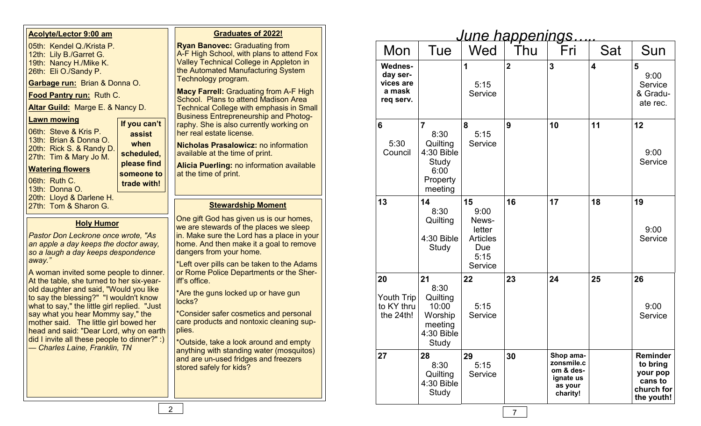| Mon                                                            | Tue                                                                                      | Wed                                                                        | June happenings<br>Thu | Fri                                                                      | Sat | Sun                                                                     |
|----------------------------------------------------------------|------------------------------------------------------------------------------------------|----------------------------------------------------------------------------|------------------------|--------------------------------------------------------------------------|-----|-------------------------------------------------------------------------|
| <b>Wednes-</b><br>day ser-<br>vices are<br>a mask<br>req serv. |                                                                                          | 1<br>5:15<br>Service                                                       | $\overline{2}$         | 3                                                                        | 4   | 5<br>9:00<br>Service<br>& Gradu-<br>ate rec.                            |
| 6<br>5:30<br>Council                                           | $\overline{7}$<br>8:30<br>Quilting<br>4:30 Bible<br>Study<br>6:00<br>Property<br>meeting | 8<br>5:15<br>Service                                                       | 9                      | 10                                                                       | 11  | 12<br>9:00<br>Service                                                   |
| 13                                                             | 14<br>8:30<br>Quilting<br>4:30 Bible<br>Study                                            | 15<br>9:00<br>News-<br>letter<br><b>Articles</b><br>Due<br>5:15<br>Service | 16                     | 17                                                                       | 18  | 19<br>9:00<br>Service                                                   |
| 20<br>Youth Trip<br>to KY thru<br>the 24th!                    | 21<br>8:30<br>Quilting<br>10:00<br>Worship<br>meeting<br>4:30 Bible<br>Study             | 22<br>5:15<br>Service                                                      | 23                     | 24                                                                       | 25  | 26<br>9:00<br>Service                                                   |
| 27                                                             | 28<br>8:30<br>Quilting<br>4:30 Bible<br>Study                                            | 29<br>5:15<br>Service                                                      | 30                     | Shop ama-<br>zonsmile.c<br>om & des-<br>ignate us<br>as your<br>charity! |     | Reminder<br>to bring<br>your pop<br>cans to<br>church for<br>the youth! |

## **Acolyte/Lector 9:00 am**

05th: Kendel Q./Krista P. 12th: Lily B./Garret G. 19th: Nancy H./Mike K. 26th: Eli O./Sandy P.

**Garbage run:** Brian & Donna O.

**Food Pantry run:** Ruth C.

**Altar Guild:** Marge E. & Nancy D.

## **Lawn mowing**

06th: Steve & Kris P. 13th: Brian & Donna O. 20th: Rick S. & Randy D. 27th: Tim & Mary Jo M. **If you can't assist when scheduled, please find** 

# **Watering flowers**

06th: Ruth C.

13th: Donna O.

- 20th: Lloyd & Darlene H.
- 

# **Holy Humor**

**someone to trade with!**

*Pastor Don Leckrone once wrote, "As an apple a day keeps the doctor away, so a laugh a day keeps despondence away."*

A woman invited some people to dinner. At the table, she turned to her six-yearold daughter and said, "Would you like to say the blessing?" "I wouldn't know what to say," the little girl replied. "Just say what you hear Mommy say," the mother said. The little girl bowed her head and said: "Dear Lord, why on earth did I invite all these people to dinner?" :) — *Charles Laine, Franklin, TN*

# **Graduates of 2022!**

**Ryan Banovec: Graduating from** A-F High School, with plans to attend Fox Valley Technical College in Appleton in the Automated Manufacturing System Technology program.

**Macy Farrell:** Graduating from A-F High School. Plans to attend Madison Area Technical College with emphasis in Small Business Entrepreneurship and Photography. She is also currently working on her real estate license.

**Nicholas Prasalowicz:** no information available at the time of print.

**Alicia Puerling:** no information available at the time of print.

# 27th: Tom & Sharon G. **Stewardship Moment**

One gift God has given us is our homes, we are stewards of the places we sleep in. Make sure the Lord has a place in your home. And then make it a goal to remove dangers from your home.

\*Left over pills can be taken to the Adams or Rome Police Departments or the Sheriff's office.

\*Are the guns locked up or have gun locks?

\*Consider safer cosmetics and personal care products and nontoxic cleaning supplies.

\*Outside, take a look around and empty anything with standing water (mosquitos) and are un-used fridges and freezers stored safely for kids?

7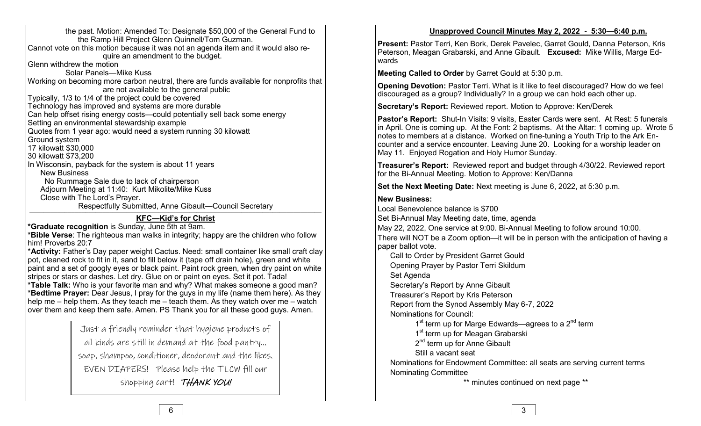the past. Motion: Amended To: Designate \$50,000 of the General Fund to the Ramp Hill Project Glenn Quinnell/Tom Guzman. Cannot vote on this motion because it was not an agenda item and it would also require an amendment to the budget. Glenn withdrew the motion Solar Panels—Mike Kuss Working on becoming more carbon neutral, there are funds available for nonprofits that are not available to the general public Typically, 1/3 to 1/4 of the project could be covered Technology has improved and systems are more durable Can help offset rising energy costs—could potentially sell back some energy Setting an environmental stewardship example Quotes from 1 year ago: would need a system running 30 kilowatt Ground system 17 kilowatt \$30,000 30 kilowatt \$73,200 In Wisconsin, payback for the system is about 11 years New Business No Rummage Sale due to lack of chairperson Adjourn Meeting at 11:40: Kurt Mikolite/Mike Kuss Close with The Lord's Prayer. Respectfully Submitted, Anne Gibault—Council Secretary  $\mathcal{L}=\{1,2,3,4\}$ 

# **KFC—Kid's for Christ**

**\*Graduate recognition** is Sunday, June 5th at 9am.

**\*Bible Verse**: The righteous man walks in integrity; happy are the children who follow him! Proverbs 20:7

\***Activity:** Father's Day paper weight Cactus. Need: small container like small craft clay pot, cleaned rock to fit in it, sand to fill below it (tape off drain hole), green and white paint and a set of googly eyes or black paint. Paint rock green, when dry paint on white stripes or stars or dashes. Let dry. Glue on or paint on eyes. Set it pot. Tada! **\*Table Talk:** Who is your favorite man and why? What makes someone a good man? **\*Bedtime Prayer:** Dear Jesus, I pray for the guys in my life (name them here). As they help me – help them. As they teach me – teach them. As they watch over me – watch over them and keep them safe. Amen. PS Thank you for all these good guys. Amen.

> Just a friendly reminder that hygiene products of all kinds are still in demand at the food pantry… soap, shampoo, conditioner, deodorant and the likes. EVEN DIAPERS! Please help the TLCW fill our shopping cart! THANK YOU!

# **Unapproved Council Minutes May 2, 2022 - 5:30—6:40 p.m.**

**Present:** Pastor Terri, Ken Bork, Derek Pavelec, Garret Gould, Danna Peterson, Kris Peterson, Meagan Grabarski, and Anne Gibault. **Excused:** Mike Willis, Marge Edwards

**Meeting Called to Order** by Garret Gould at 5:30 p.m.

**Opening Devotion:** Pastor Terri. What is it like to feel discouraged? How do we feel discouraged as a group? Individually? In a group we can hold each other up.

**Secretary's Report:** Reviewed report. Motion to Approve: Ken/Derek

**Pastor's Report:** Shut-In Visits: 9 visits, Easter Cards were sent. At Rest: 5 funerals in April. One is coming up. At the Font: 2 baptisms. At the Altar: 1 coming up. Wrote 5 notes to members at a distance. Worked on fine-tuning a Youth Trip to the Ark Encounter and a service encounter. Leaving June 20. Looking for a worship leader on May 11. Enjoyed Rogation and Holy Humor Sunday.

**Treasurer's Report:** Reviewed report and budget through 4/30/22. Reviewed report for the Bi-Annual Meeting. Motion to Approve: Ken/Danna

**Set the Next Meeting Date:** Next meeting is June 6, 2022, at 5:30 p.m.

# **New Business:**

Local Benevolence balance is \$700 Set Bi-Annual May Meeting date, time, agenda May 22, 2022, One service at 9:00. Bi-Annual Meeting to follow around 10:00. There will NOT be a Zoom option—it will be in person with the anticipation of having a paper ballot vote. Call to Order by President Garret Gould

Opening Prayer by Pastor Terri Skildum

Set Agenda

Secretary's Report by Anne Gibault

Treasurer's Report by Kris Peterson

Report from the Synod Assembly May 6-7, 2022

Nominations for Council:

1<sup>st</sup> term up for Marge Edwards—agrees to a 2<sup>nd</sup> term

1<sup>st</sup> term up for Meagan Grabarski

2<sup>nd</sup> term up for Anne Gibault

Still a vacant seat

Nominations for Endowment Committee: all seats are serving current terms Nominating Committee

\*\* minutes continued on next page \*\*